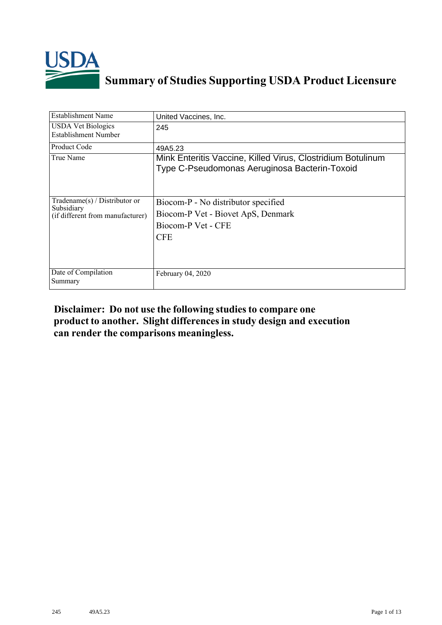

## **Summary of Studies Supporting USDA Product Licensure**

| Establishment Name                                                              | United Vaccines, Inc.                                                                                         |
|---------------------------------------------------------------------------------|---------------------------------------------------------------------------------------------------------------|
| <b>USDA Vet Biologics</b><br>Establishment Number                               | 245                                                                                                           |
| <b>Product Code</b>                                                             | 49A5.23                                                                                                       |
| True Name                                                                       | Mink Enteritis Vaccine, Killed Virus, Clostridium Botulinum<br>Type C-Pseudomonas Aeruginosa Bacterin-Toxoid  |
| Tradename(s) / Distributor or<br>Subsidiary<br>(if different from manufacturer) | Biocom-P - No distributor specified<br>Biocom-P Vet - Biovet ApS, Denmark<br>Biocom-P Vet - CFE<br><b>CFE</b> |
| Date of Compilation<br>Summary                                                  | February 04, 2020                                                                                             |

## **Disclaimer: Do not use the following studiesto compare one product to another. Slight differencesin study design and execution can render the comparisons meaningless.**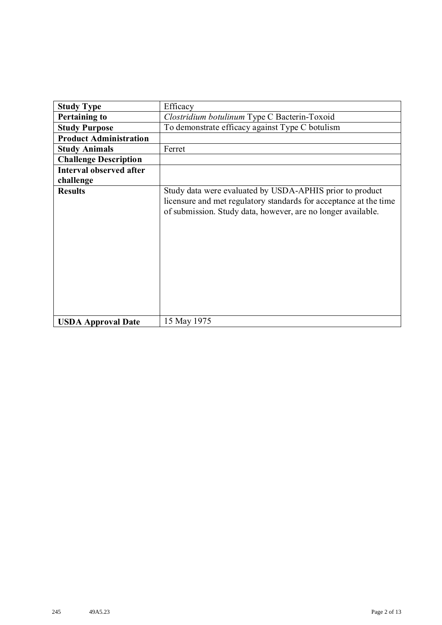| <b>Study Type</b>              | Efficacy                                                                                                                                                                                      |  |  |  |
|--------------------------------|-----------------------------------------------------------------------------------------------------------------------------------------------------------------------------------------------|--|--|--|
| <b>Pertaining to</b>           | Clostridium botulinum Type C Bacterin-Toxoid                                                                                                                                                  |  |  |  |
|                                |                                                                                                                                                                                               |  |  |  |
| <b>Study Purpose</b>           | To demonstrate efficacy against Type C botulism                                                                                                                                               |  |  |  |
| <b>Product Administration</b>  |                                                                                                                                                                                               |  |  |  |
| <b>Study Animals</b>           | Ferret                                                                                                                                                                                        |  |  |  |
| <b>Challenge Description</b>   |                                                                                                                                                                                               |  |  |  |
| <b>Interval observed after</b> |                                                                                                                                                                                               |  |  |  |
| challenge                      |                                                                                                                                                                                               |  |  |  |
| <b>Results</b>                 | Study data were evaluated by USDA-APHIS prior to product<br>licensure and met regulatory standards for acceptance at the time<br>of submission. Study data, however, are no longer available. |  |  |  |
| <b>USDA Approval Date</b>      | 15 May 1975                                                                                                                                                                                   |  |  |  |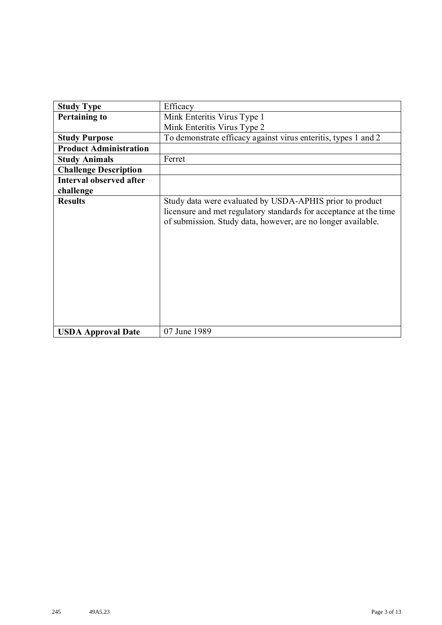| <b>Study Type</b>              | Efficacy                                                                                                                                                                                      |
|--------------------------------|-----------------------------------------------------------------------------------------------------------------------------------------------------------------------------------------------|
| <b>Pertaining to</b>           | Mink Enteritis Virus Type 1                                                                                                                                                                   |
|                                | Mink Enteritis Virus Type 2                                                                                                                                                                   |
| <b>Study Purpose</b>           | To demonstrate efficacy against virus enteritis, types 1 and 2                                                                                                                                |
| <b>Product Administration</b>  |                                                                                                                                                                                               |
| <b>Study Animals</b>           | Ferret                                                                                                                                                                                        |
| <b>Challenge Description</b>   |                                                                                                                                                                                               |
| <b>Interval observed after</b> |                                                                                                                                                                                               |
| challenge                      |                                                                                                                                                                                               |
| <b>Results</b>                 | Study data were evaluated by USDA-APHIS prior to product<br>licensure and met regulatory standards for acceptance at the time<br>of submission. Study data, however, are no longer available. |
| <b>USDA Approval Date</b>      | 07 June 1989                                                                                                                                                                                  |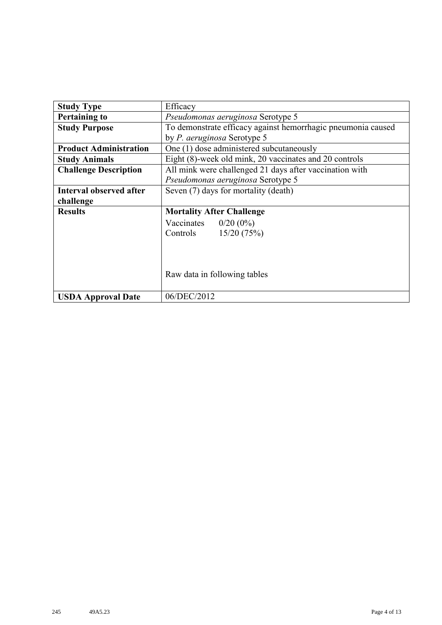| <b>Study Type</b>              | Efficacy                                                     |  |  |  |
|--------------------------------|--------------------------------------------------------------|--|--|--|
| <b>Pertaining to</b>           | Pseudomonas aeruginosa Serotype 5                            |  |  |  |
| <b>Study Purpose</b>           | To demonstrate efficacy against hemorrhagic pneumonia caused |  |  |  |
|                                | by P. aeruginosa Serotype 5                                  |  |  |  |
| <b>Product Administration</b>  | One (1) dose administered subcutaneously                     |  |  |  |
| <b>Study Animals</b>           | Eight (8)-week old mink, 20 vaccinates and 20 controls       |  |  |  |
| <b>Challenge Description</b>   | All mink were challenged 21 days after vaccination with      |  |  |  |
|                                | Pseudomonas aeruginosa Serotype 5                            |  |  |  |
| <b>Interval observed after</b> | Seven (7) days for mortality (death)                         |  |  |  |
| challenge                      |                                                              |  |  |  |
| <b>Results</b>                 | <b>Mortality After Challenge</b>                             |  |  |  |
|                                | Vaccinates $0/20$ $(0%)$                                     |  |  |  |
|                                | Controls 15/20 (75%)                                         |  |  |  |
|                                |                                                              |  |  |  |
|                                |                                                              |  |  |  |
|                                |                                                              |  |  |  |
|                                | Raw data in following tables                                 |  |  |  |
|                                |                                                              |  |  |  |
| <b>USDA Approval Date</b>      | 06/DEC/2012                                                  |  |  |  |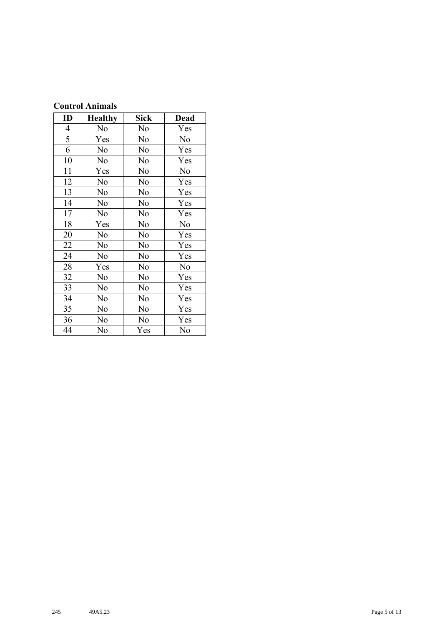| <b>Control Animals</b> |  |  |  |
|------------------------|--|--|--|
|                        |  |  |  |

| ID             | <b>Healthy</b> | Sick | <b>Dead</b>    |
|----------------|----------------|------|----------------|
| 4              | No             | No   | Yes            |
| $\overline{5}$ | Yes            | No   | N <sub>o</sub> |
| 6              | No             | No   | Yes            |
| 10             | No             | No   | Yes            |
| 11             | Yes            | No   | No             |
| 12             | No             | No   | Yes            |
| 13             | No             | No   | Yes            |
| 14             | No             | No   | Yes            |
| 17             | No             | No   | Yes            |
| 18             | Yes            | No   | No             |
| 20             | No             | No   | Yes            |
| 22             | No             | No   | Yes            |
| 24             | No             | No   | Yes            |
| 28             | Yes            | No   | No             |
| 32             | No             | No   | Yes            |
| 33             | No             | No   | Yes            |
| 34             | No             | No   | Yes            |
| 35             | No             | No   | Yes            |
| 36             | No             | No   | Yes            |
| 44             | No             | Yes  | No             |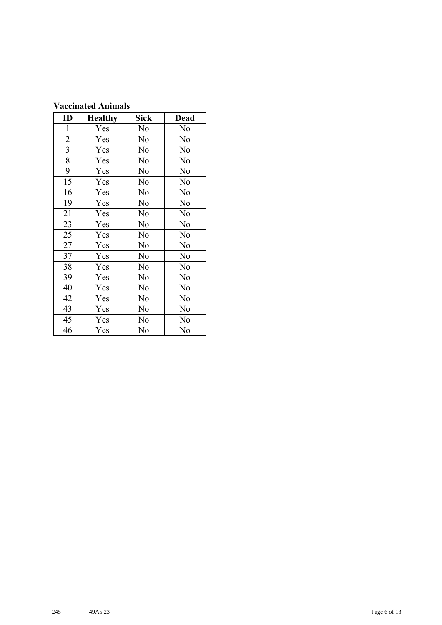| <b>Vaccinated Animals</b> |  |  |
|---------------------------|--|--|
|                           |  |  |

| ID             | <b>Healthy</b> | <b>Sick</b> | <b>Dead</b> |
|----------------|----------------|-------------|-------------|
| 1              | Yes            | No          | No          |
| $\overline{2}$ | Yes            | No          | No          |
| $\overline{3}$ | Yes            | No          | No          |
| 8              | Yes            | No          | No          |
| 9              | Yes            | No          | No          |
| 15             | Yes            | No          | No          |
| 16             | Yes            | No          | No          |
| 19             | Yes            | No          | No          |
| 21             | Yes            | No          | No          |
| 23             | Yes            | No          | No          |
| 25             | Yes            | No          | No          |
| 27             | Yes            | No          | No          |
| 37             | Yes            | No          | No          |
| 38             | Yes            | No          | No          |
| 39             | Yes            | No          | No          |
| 40             | Yes            | No          | No          |
| 42             | Yes            | No          | No          |
| 43             | Yes            | No          | No          |
| 45             | Yes            | No          | No          |
| 46             | Yes            | No          | No          |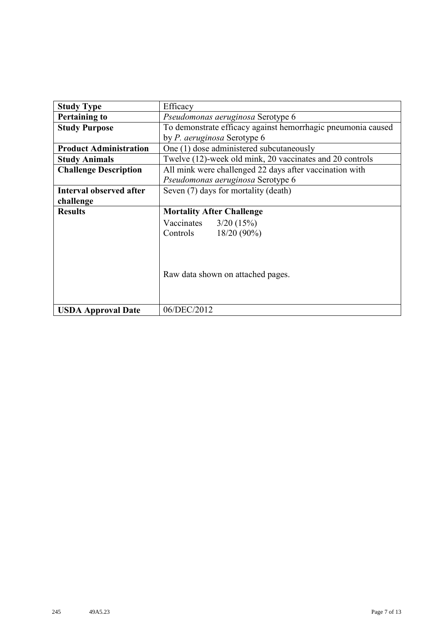| <b>Study Type</b>             | Efficacy                                                     |  |  |  |
|-------------------------------|--------------------------------------------------------------|--|--|--|
| <b>Pertaining to</b>          | Pseudomonas aeruginosa Serotype 6                            |  |  |  |
| <b>Study Purpose</b>          | To demonstrate efficacy against hemorrhagic pneumonia caused |  |  |  |
|                               | by <i>P. aeruginosa</i> Serotype 6                           |  |  |  |
| <b>Product Administration</b> | One (1) dose administered subcutaneously                     |  |  |  |
| <b>Study Animals</b>          | Twelve (12)-week old mink, 20 vaccinates and 20 controls     |  |  |  |
| <b>Challenge Description</b>  | All mink were challenged 22 days after vaccination with      |  |  |  |
|                               | Pseudomonas aeruginosa Serotype 6                            |  |  |  |
| Interval observed after       | Seven (7) days for mortality (death)                         |  |  |  |
| challenge                     |                                                              |  |  |  |
| <b>Results</b>                | <b>Mortality After Challenge</b>                             |  |  |  |
|                               | Vaccinates $3/20$ (15%)                                      |  |  |  |
|                               | Controls<br>$18/20(90\%)$                                    |  |  |  |
|                               |                                                              |  |  |  |
|                               |                                                              |  |  |  |
|                               |                                                              |  |  |  |
|                               | Raw data shown on attached pages.                            |  |  |  |
|                               |                                                              |  |  |  |
|                               |                                                              |  |  |  |
| <b>USDA Approval Date</b>     | 06/DEC/2012                                                  |  |  |  |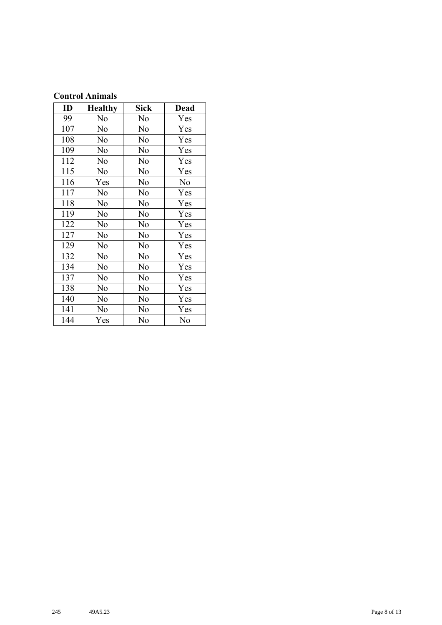| <b>Control Animals</b> |  |  |
|------------------------|--|--|
|                        |  |  |

| ID  | <b>Healthy</b> | <b>Sick</b> | <b>Dead</b> |
|-----|----------------|-------------|-------------|
| 99  | No             | No          | Yes         |
| 107 | No             | No          | Yes         |
| 108 | No             | No          | Yes         |
| 109 | No             | No          | Yes         |
| 112 | No             | No          | Yes         |
| 115 | No             | No          | Yes         |
| 116 | Yes            | No          | No          |
| 117 | No             | No          | Yes         |
| 118 | No             | No          | Yes         |
| 119 | No             | No          | Yes         |
| 122 | No             | No          | Yes         |
| 127 | No             | No          | Yes         |
| 129 | No             | No          | Yes         |
| 132 | No             | No          | Yes         |
| 134 | No             | No          | Yes         |
| 137 | No             | No          | Yes         |
| 138 | No             | No          | Yes         |
| 140 | No             | No          | Yes         |
| 141 | No             | No          | Yes         |
| 144 | Yes            | No          | No          |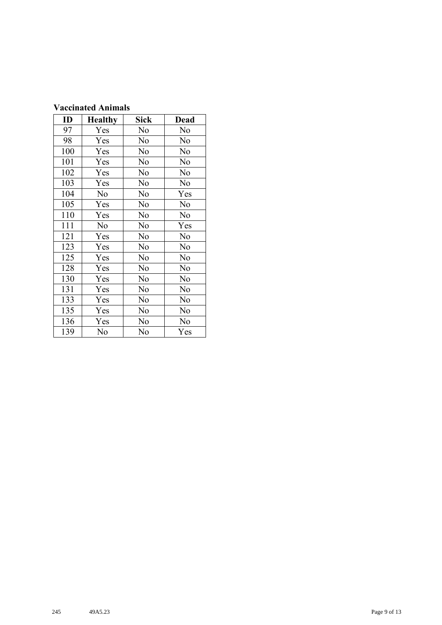| <b>Vaccinated Animals</b> |  |  |
|---------------------------|--|--|
|                           |  |  |

| ID  | <b>Healthy</b> | Sick | <b>Dead</b> |
|-----|----------------|------|-------------|
| 97  | Yes            | No   | No          |
| 98  | Yes            | No   | No          |
| 100 | Yes            | No   | No          |
| 101 | Yes            | No   | No          |
| 102 | Yes            | No   | No          |
| 103 | Yes            | No   | No          |
| 104 | No             | No   | Yes         |
| 105 | Yes            | No   | No          |
| 110 | Yes            | No   | No          |
| 111 | No             | No   | Yes         |
| 121 | Yes            | No   | No          |
| 123 | Yes            | No   | No          |
| 125 | Yes            | No   | No          |
| 128 | Yes            | No   | No          |
| 130 | Yes            | No   | No          |
| 131 | Yes            | No   | No          |
| 133 | Yes            | No   | No          |
| 135 | Yes            | No   | No          |
| 136 | Yes            | No   | No          |
| 139 | No             | No   | Yes         |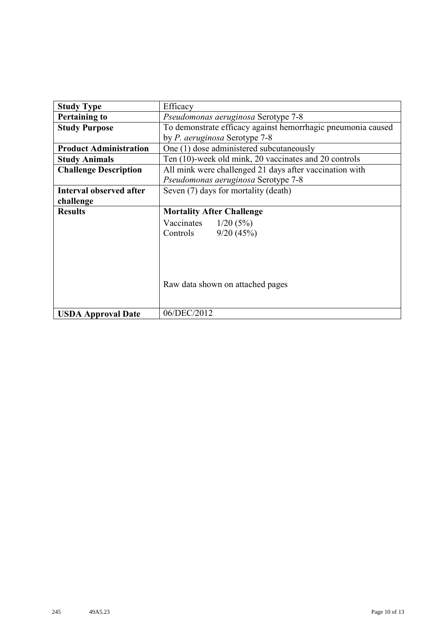| <b>Study Type</b>              | Efficacy                                                     |  |  |  |
|--------------------------------|--------------------------------------------------------------|--|--|--|
| <b>Pertaining to</b>           | Pseudomonas aeruginosa Serotype 7-8                          |  |  |  |
| <b>Study Purpose</b>           | To demonstrate efficacy against hemorrhagic pneumonia caused |  |  |  |
|                                | by <i>P. aeruginosa</i> Serotype 7-8                         |  |  |  |
| <b>Product Administration</b>  | One (1) dose administered subcutaneously                     |  |  |  |
| <b>Study Animals</b>           | Ten (10)-week old mink, 20 vaccinates and 20 controls        |  |  |  |
| <b>Challenge Description</b>   | All mink were challenged 21 days after vaccination with      |  |  |  |
|                                | Pseudomonas aeruginosa Serotype 7-8                          |  |  |  |
| <b>Interval observed after</b> | Seven (7) days for mortality (death)                         |  |  |  |
| challenge                      |                                                              |  |  |  |
| <b>Results</b>                 | <b>Mortality After Challenge</b>                             |  |  |  |
|                                | Vaccinates $1/20$ (5%)                                       |  |  |  |
|                                | 9/20(45%)<br>Controls                                        |  |  |  |
|                                |                                                              |  |  |  |
|                                |                                                              |  |  |  |
|                                |                                                              |  |  |  |
|                                |                                                              |  |  |  |
|                                | Raw data shown on attached pages                             |  |  |  |
|                                |                                                              |  |  |  |
|                                |                                                              |  |  |  |
| <b>USDA Approval Date</b>      | 06/DEC/2012                                                  |  |  |  |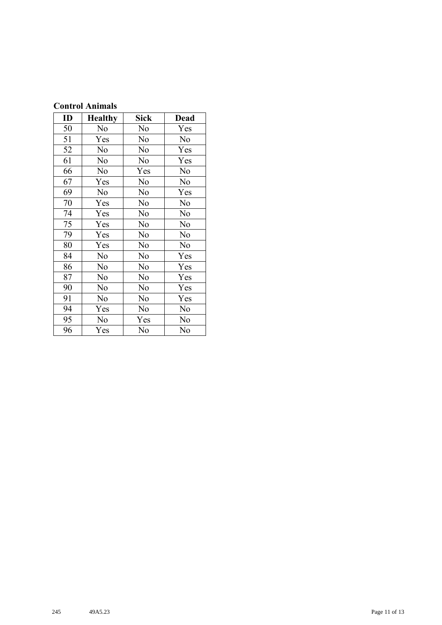| <b>Control Animals</b> |  |  |  |
|------------------------|--|--|--|
|                        |  |  |  |

| ID | <b>Healthy</b> | Sick | <b>Dead</b>    |
|----|----------------|------|----------------|
| 50 | No             | No   | Yes            |
| 51 | Yes            | No   | N <sub>o</sub> |
| 52 | No             | No   | Yes            |
| 61 | No             | No   | Yes            |
| 66 | No             | Yes  | No             |
| 67 | Yes            | No   | No             |
| 69 | No             | No   | Yes            |
| 70 | Yes            | No   | No             |
| 74 | Yes            | No   | No             |
| 75 | Yes            | No   | No             |
| 79 | Yes            | No   | No             |
| 80 | Yes            | No   | No             |
| 84 | No             | No   | Yes            |
| 86 | No             | No   | Yes            |
| 87 | No             | No   | Yes            |
| 90 | No             | No   | Yes            |
| 91 | No             | No   | Yes            |
| 94 | Yes            | No   | No             |
| 95 | No             | Yes  | No             |
| 96 | Yes            | No   | No             |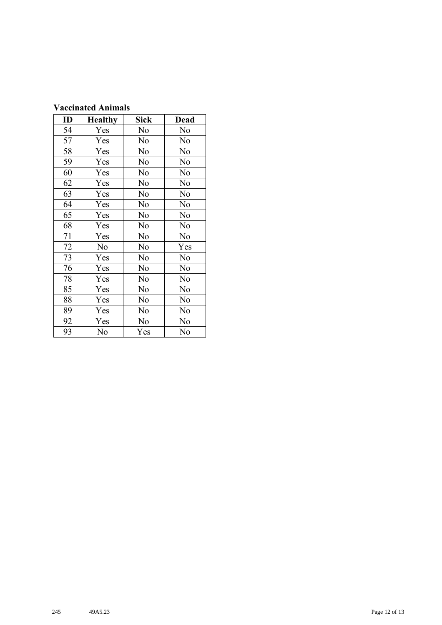## **Vaccinated Animals**

| ID | <b>Healthy</b> | <b>Sick</b> | <b>Dead</b> |
|----|----------------|-------------|-------------|
| 54 | Yes            | No          | No          |
| 57 | Yes            | No          | No          |
| 58 | Yes            | No          | No          |
| 59 | Yes            | No          | No          |
| 60 | Yes            | No          | No          |
| 62 | Yes            | No          | No          |
| 63 | Yes            | No          | No          |
| 64 | Yes            | No          | No          |
| 65 | Yes            | No          | No          |
| 68 | Yes            | No          | No          |
| 71 | Yes            | No          | No          |
| 72 | No             | No          | Yes         |
| 73 | Yes            | No          | No          |
| 76 | Yes            | No          | No          |
| 78 | Yes            | No          | No          |
| 85 | Yes            | No          | No          |
| 88 | Yes            | No          | No          |
| 89 | Yes            | No          | No          |
| 92 | Yes            | No          | No          |
| 93 | No             | Yes         | No          |